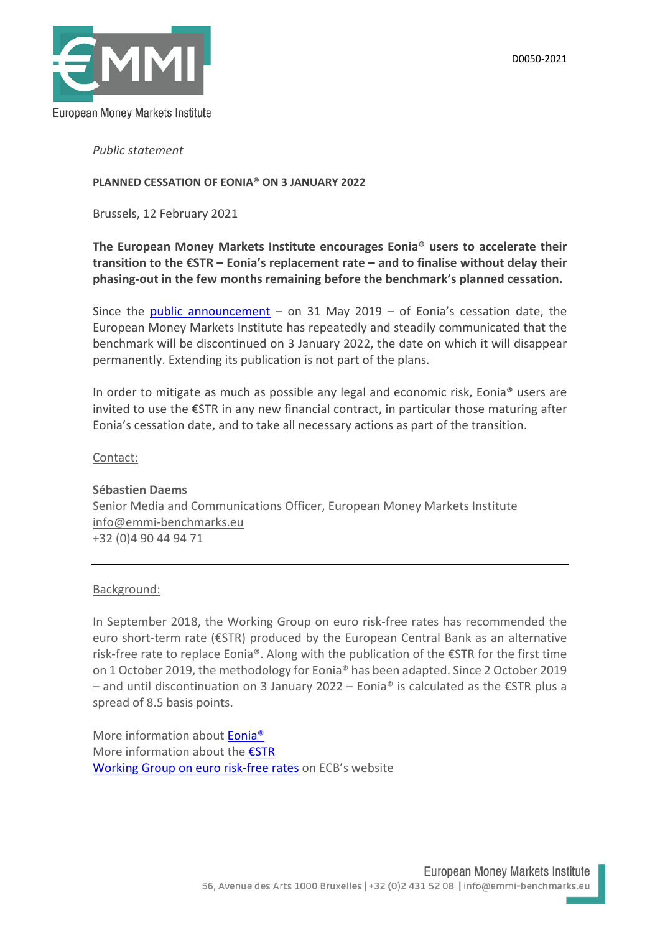

*Public statement*

## **PLANNED CESSATION OF EONIA® ON 3 JANUARY 2022**

Brussels, 12 February 2021

## **The European Money Markets Institute encourages Eonia® users to accelerate their transition to the €STR – Eonia's replacement rate – and to finalise without delay their phasing-out in the few months remaining before the benchmark's planned cessation.**

Since the [public announcement](https://www.emmi-benchmarks.eu/assets/files/D0194C-2019%20EONIA_consultation_feedback_press_release.pdf) – on 31 May 2019 – of Eonia's cessation date, the European Money Markets Institute has repeatedly and steadily communicated that the benchmark will be discontinued on 3 January 2022, the date on which it will disappear permanently. Extending its publication is not part of the plans.

In order to mitigate as much as possible any legal and economic risk, Eonia® users are invited to use the €STR in any new financial contract, in particular those maturing after Eonia's cessation date, and to take all necessary actions as part of the transition.

## Contact:

# **Sébastien Daems**  Senior Media and Communications Officer, European Money Markets Institute [info@emmi-benchmarks.eu](mailto:info@emmi-benchmarks.eu)  +32 (0)4 90 44 94 71

## Background:

In September 2018, the Working Group on euro risk-free rates has recommended the euro short-term rate (€STR) produced by the European Central Bank as an alternative risk-free rate to replace Eonia®. Along with the publication of the €STR for the first time on 1 October 2019, the methodology for Eonia® has been adapted. Since 2 October 2019 – and until discontinuation on 3 January 2022 – Eonia® is calculated as the €STR plus a spread of 8.5 basis points.

More information about **Eonia<sup>®</sup>** More information about the [€STR](https://www.ecb.europa.eu/stats/financial_markets_and_interest_rates/euro_short-term_rate/html/index.en.html) [Working Group on euro risk-free rates](https://www.ecb.europa.eu/paym/interest_rate_benchmarks/WG_euro_risk-free_rates/html/index.en.html) on ECB's website